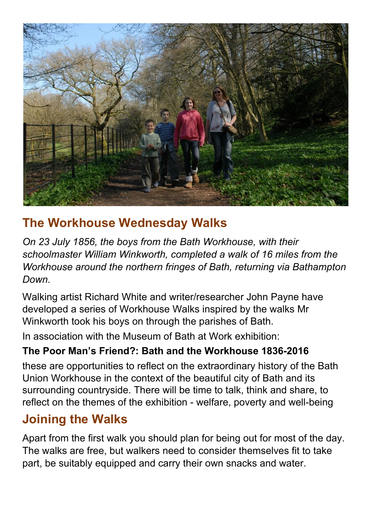

# **The Workhouse Wednesday Walks**

*On 23 July 1856, the boys from the Bath Workhouse, with their schoolmaster William Winkworth, completed a walk of 16 miles from the Workhouse around the northern fringes of Bath, returning via Bathampton Down.*

Walking artist Richard White and writer/researcher John Payne have developed a series of Workhouse Walks inspired by the walks Mr Winkworth took his boys on through the parishes of Bath.

In association with the Museum of Bath at Work exhibition:

#### **The Poor Man's Friend?: Bath and the Workhouse 1836-2016**

these are opportunities to reflect on the extraordinary history of the Bath Union Workhouse in the context of the beautiful city of Bath and its surrounding countryside. There will be time to talk, think and share, to reflect on the themes of the exhibition - welfare, poverty and well-being

# **Joining the Walks**

Apart from the first walk you should plan for being out for most of the day. The walks are free, but walkers need to consider themselves fit to take part, be suitably equipped and carry their own snacks and water.